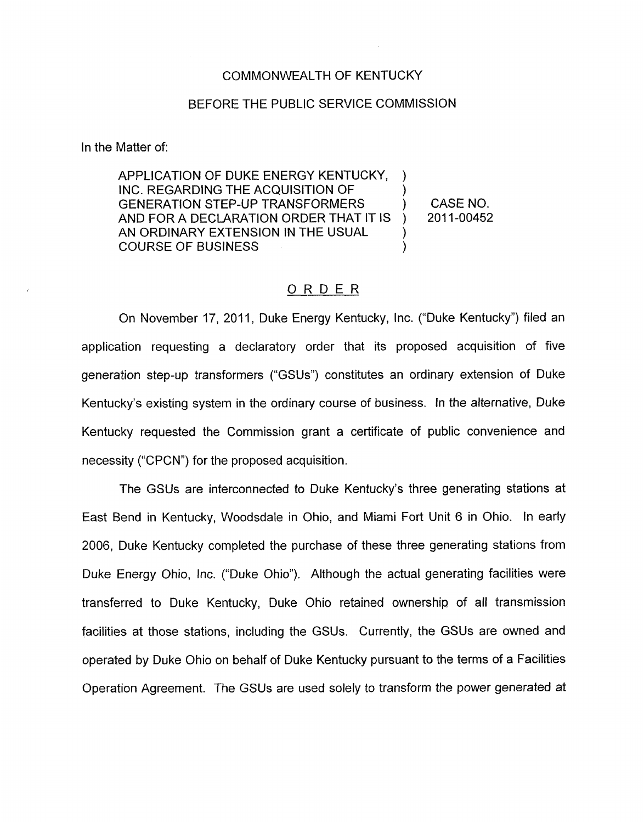## COMMONWEALTH OF KENTUCKY

## BEFORE THE PUBLIC SERVICE COMMISSION

In the Matter of:

APPLICATION **OF** DUKE ENERGY KENTUCKY, GENERATION STEP-UP TRANSFORMERS ) CASE NO. AND FOR A DECLARATION ORDER THAT IT **IS**  AN ORDINARY EXTENSION IN THE USUAL  $\qquad$ ) COURSE OF BUSINESS ) )  $)$  2011-00452

# ORDER

On November 17, 2011, Duke Energy Kentucky, Inc. ("Duke Kentucky") filed an application requesting a declaratory order that its proposed acquisition of five generation step-up transformers ("GSUs") constitutes an ordinary extension of Duke Kentucky's existing system in the ordinary course of business. In the alternative, Duke Kentucky requested the Commission grant a certificate of public convenience and necessity ("CPCN") for the proposed acquisition.

The GSUs are interconnected to Duke Kentucky's three generating stations at East Bend in Kentucky, Woodsdale in Ohio, and Miami Fort Unit 6 in Ohio. In early 2006, Duke Kentucky completed the purchase of these three generating stations from Duke Energy Ohio, Inc. ("Duke Ohio"). Although the actual generating facilities were transferred to Duke Kentucky, Duke Ohio retained ownership of all transmission facilities at those stations, including the GSUs. Currently, the GSUs are owned and operated by Duke Ohio on behalf of Duke Kentucky pursuant to the terms of a Facilities Operation Agreement. The GSUs are used solely to transform the power generated at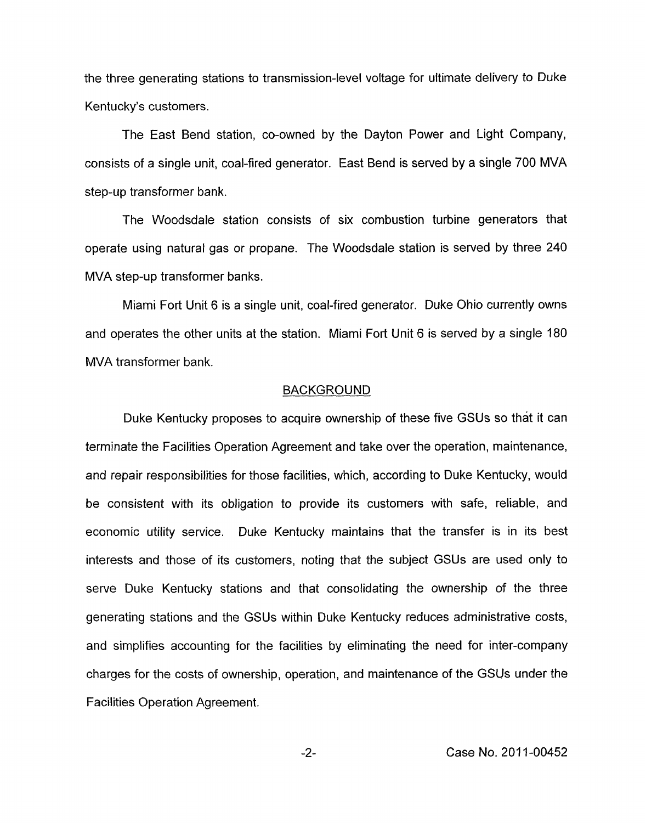the three generating stations to transmission-level voltage for ultimate delivery to Duke Kentucky's customers.

The East Bend station, co-owned by the Dayton Power and Light Company, consists of a single unit, coal-fired generator. East Bend is served by a single 700 MVA step-up transformer bank.

The Woodsdale station consists of six combustion turbine generators that operate using natural gas or propane. The Woodsdale station is served by three 240 MVA step-up transformer banks.

Miami Fort Unit 6 is a single unit, coal-fired generator. Duke Ohio currently owns and operates the other units at the station. Miami Fort Unit 6 is served by a single 180 MVA transformer bank.

#### BACKGROUND

Duke Kentucky proposes to acquire ownership of these five GSUs so that it can terminate the Facilities Operation Agreement and take over the operation, maintenance, and repair responsibilities for those facilities, which, according to Duke Kentucky, would be consistent with its obligation to provide its customers with safe, reliable, and economic utility service. Duke Kentucky maintains that the transfer is in its best interests and those of its customers, noting that the subject GSUs are used only to serve Duke Kentucky stations and that consolidating the ownership of the three generating stations and the GSUs within Duke Kentucky reduces administrative costs, and simplifies accounting for the facilities by eliminating the need for inter-company charges for the costs of ownership, operation, and maintenance of the GSUs under the Facilities Operation Agreement.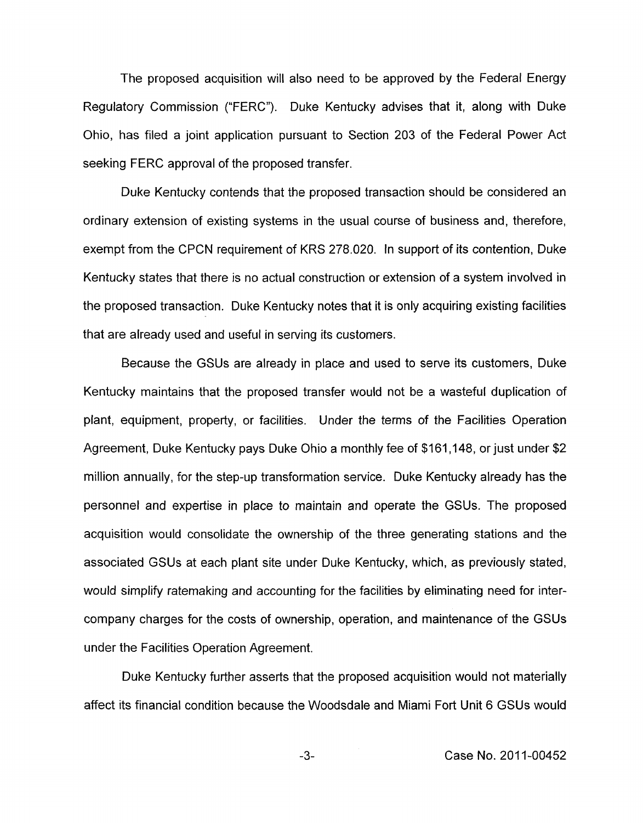The proposed acquisition will also need to be approved by the Federal Energy Regulatory Commission ("FERC"). Duke Kentucky advises that it, along with Duke Ohio, has filed a joint application pursuant to Section 203 of the Federal Power Act seeking FERC approval of the proposed transfer.

Duke Kentucky contends that the proposed transaction should be considered an ordinary extension of existing systems in the usual course of business and, therefore, exempt from the CPCN requirement of KRS 278.020. In support of its contention, Duke Kentucky states that there is no actual construction or extension of a system involved in the proposed transaction. Duke Kentucky notes that it is only acquiring existing facilities that are already used and useful in serving its customers.

Because the GSUs are already in place and used to serve its customers, Duke Kentucky maintains that the proposed transfer would not be a wasteful duplication of plant, equipment, property, or facilities. Under the terms of the Facilities Operation Agreement, Duke Kentucky pays Duke Ohio a monthly fee of \$161,148, or just under \$2 million annually, for the step-up transformation service. Duke Kentucky already has the personnel and expertise in place to maintain and operate the GSUs. The proposed acquisition would consolidate the ownership of the three generating stations and the associated GSUs at each plant site under Duke Kentucky, which, as previously stated, would simplify ratemaking and accounting for the facilities by eliminating need for intercompany charges for the costs of ownership, operation, and maintenance of the GSUs under the Facilities Operation Agreement.

Duke Kentucky further asserts that the proposed acquisition would not materially affect its financial condition because the Woodsdale and Miami Fort Unit 6 GSUs would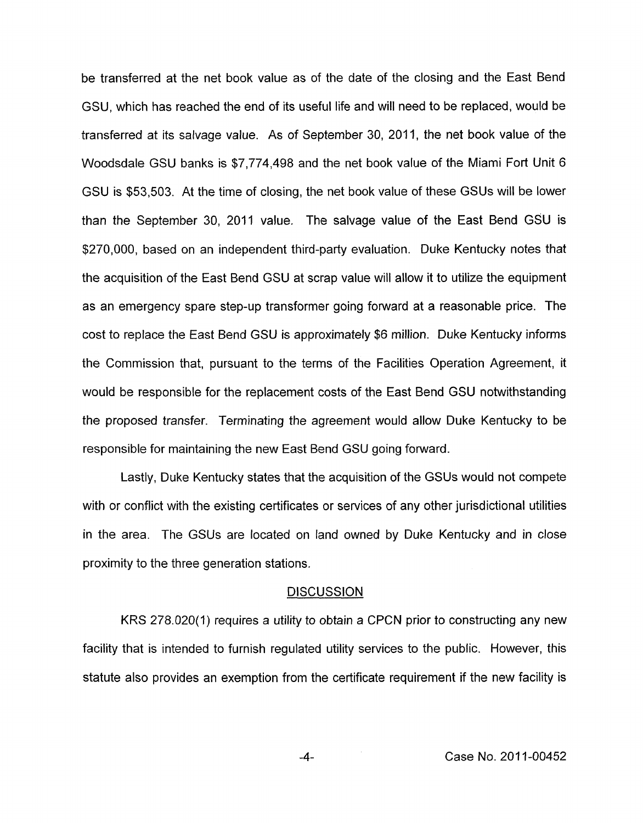be transferred at the net book value as of the date of the closing and the East Bend GSU, which has reached the end of its useful life and will need to be replaced, would be transferred at its salvage value. As of September 30, 2011, the net book value of the Woodsdale GSU banks is \$7,774,498 and the net book value of the Miami Fort Unit 6 GSU is \$53,503. At the time of closing, the net book value of these GSUs will be lower than the September 30, 2011 value. The salvage value of the East Bend GSU is \$270,000, based on an independent third-party evaluation. Duke Kentucky notes that the acquisition of the East Bend GSU at scrap value will allow it to utilize the equipment as an emergency spare step-up transformer going forward at a reasonable price. The cost to replace the East Bend GSU is approximately \$6 million. Duke Kentucky informs the Commission that, pursuant to the terms of the Facilities Operation Agreement, it would be responsible for the replacement costs of the East Bend GSU notwithstanding the proposed transfer. Terminating the agreement would allow Duke Kentucky to be responsible for maintaining the new East Bend GSU going forward.

Lastly, Duke Kentucky states that the acquisition of the GSUs would not compete with or conflict with the existing certificates or services of any other jurisdictional utilities in the area. The GSUs are located on land owned by Duke Kentucky and in close proximity to the three generation stations.

## **DISCUSSION**

KRS 278.020(1) requires a utility to obtain a CPCN prior to constructing any new facility that is intended to furnish regulated utility services to the public. However, this statute also provides an exemption from the certificate requirement if the new facility is

-4- Case **No.** 201 1-00452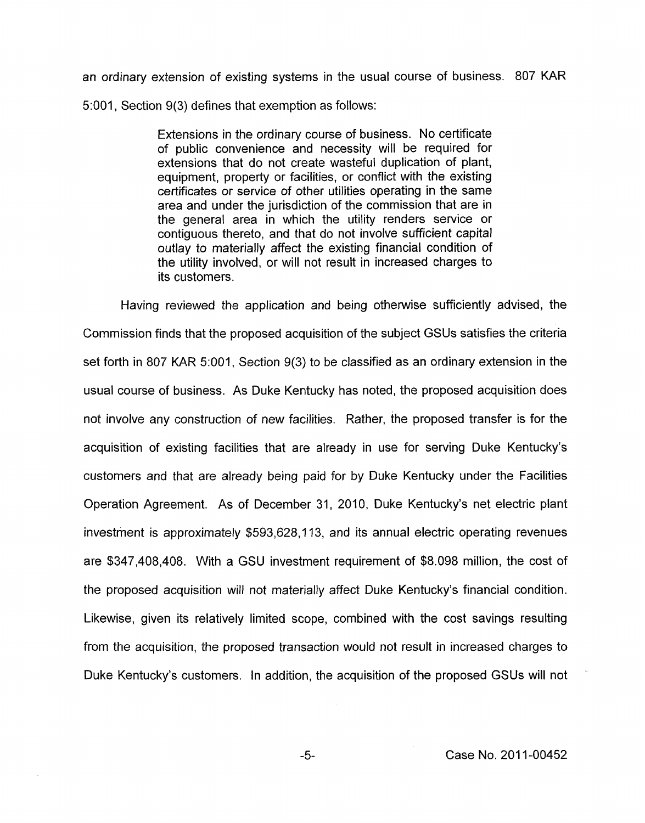an ordinary extension of existing systems in the usual course of business. 807 KAR 5:001, Section 9(3) defines that exemption as follows:

> Extensions in the ordinary course of business. No certificate of public convenience and necessity will be required for extensions that do not create wasteful duplication of plant, equipment, property or facilities, or conflict with the existing certificates or service of other utilities operating in the same area and under the jurisdiction of the commission that are in the general area in which the utility renders service or contiguous thereto, and that do not involve sufficient capital outlay to materially affect the existing financial condition of the utility involved, or will not result in increased charges to its customers.

Having reviewed the application and being otherwise sufficiently advised, the Commission finds that the proposed acquisition of the subject GSUs satisfies the criteria set forth in 807 KAR 5:001, Section 9(3) to be classified as an ordinary extension in the usual course of business. As Duke Kentucky has noted, the proposed acquisition does not involve any construction of new facilities. Rather, the proposed transfer is for the acquisition of existing facilities that are already in use for serving Duke Kentucky's customers and that are already being paid for by Duke Kentucky under the Facilities Operation Agreement. As of December 31, 2010, Duke Kentucky's net electric plant investment is approximately \$593,628,113, and its annual electric operating revenues are \$347,408,408. With a GSU investment requirement of \$8.098 million, the cost of the proposed acquisition will not materially affect Duke Kentucky's financial condition. Likewise, given its relatively limited scope, combined with the cost savings resulting from the acquisition, the proposed transaction would not result in increased charges to Duke Kentucky's customers. In addition, the acquisition of the proposed GSUs will not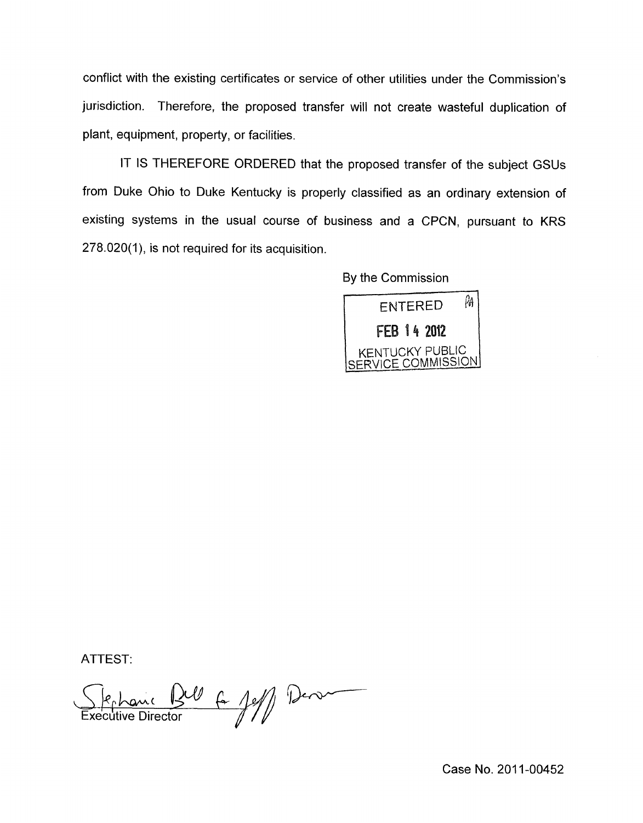conflict with the existing certificates or service of other utilities under the Commission's jurisdiction. Therefore, the proposed transfer will not create wasteful duplication of plant, equipment, property, or facilities.

IT IS THEREFORE ORDERED that the proposed transfer of the subject GSUs from Duke Ohio to Duke Kentucky is properly classified as an ordinary extension of existing systems in the usual course of business and a CPCN, pursuant to KRS 278.020(1), is not required for its acquisition.

By the Commission



ATTEST:

Stephanic Bell 6 1ell Des

Case No. 2011-00452